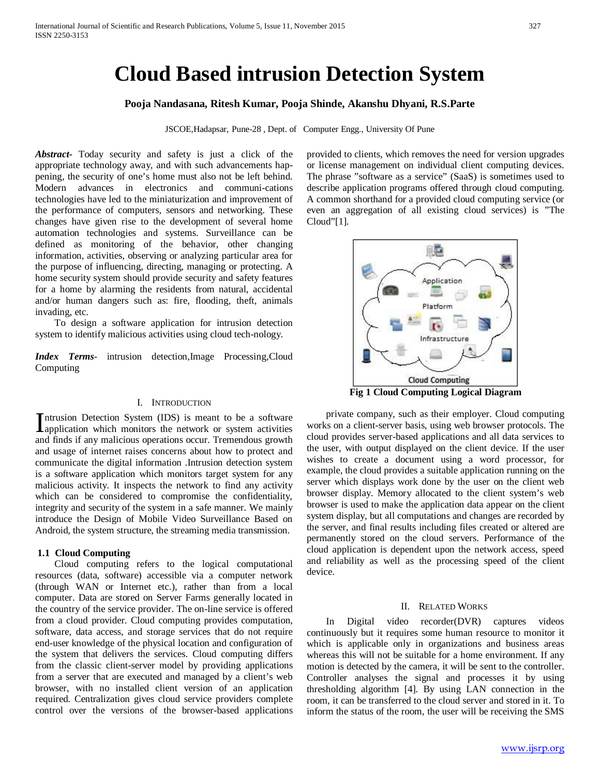# **Cloud Based intrusion Detection System**

# **Pooja Nandasana, Ritesh Kumar, Pooja Shinde, Akanshu Dhyani, R.S.Parte**

JSCOE,Hadapsar, Pune-28 , Dept. of Computer Engg., University Of Pune

*Abstract***-** Today security and safety is just a click of the appropriate technology away, and with such advancements happening, the security of one's home must also not be left behind. Modern advances in electronics and communi-cations technologies have led to the miniaturization and improvement of the performance of computers, sensors and networking. These changes have given rise to the development of several home automation technologies and systems. Surveillance can be defined as monitoring of the behavior, other changing information, activities, observing or analyzing particular area for the purpose of influencing, directing, managing or protecting. A home security system should provide security and safety features for a home by alarming the residents from natural, accidental and/or human dangers such as: fire, flooding, theft, animals invading, etc.

 To design a software application for intrusion detection system to identify malicious activities using cloud tech-nology.

*Index Terms*- intrusion detection,Image Processing,Cloud Computing

## I. INTRODUCTION

ntrusion Detection System (IDS) is meant to be a software Intrusion Detection System (IDS) is meant to be a software<br>application which monitors the network or system activities<br>and finds if any malisima approximate accumum Transactions approximately and finds if any malicious operations occur. Tremendous growth and usage of internet raises concerns about how to protect and communicate the digital information .Intrusion detection system is a software application which monitors target system for any malicious activity. It inspects the network to find any activity which can be considered to compromise the confidentiality, integrity and security of the system in a safe manner. We mainly introduce the Design of Mobile Video Surveillance Based on Android, the system structure, the streaming media transmission.

#### **1.1 Cloud Computing**

 Cloud computing refers to the logical computational resources (data, software) accessible via a computer network (through WAN or Internet etc.), rather than from a local computer. Data are stored on Server Farms generally located in the country of the service provider. The on-line service is offered from a cloud provider. Cloud computing provides computation, software, data access, and storage services that do not require end-user knowledge of the physical location and configuration of the system that delivers the services. Cloud computing differs from the classic client-server model by providing applications from a server that are executed and managed by a client's web browser, with no installed client version of an application required. Centralization gives cloud service providers complete control over the versions of the browser-based applications provided to clients, which removes the need for version upgrades or license management on individual client computing devices. The phrase "software as a service" (SaaS) is sometimes used to describe application programs offered through cloud computing. A common shorthand for a provided cloud computing service (or even an aggregation of all existing cloud services) is "The Cloud"[1].



**Fig 1 Cloud Computing Logical Diagram**

 private company, such as their employer. Cloud computing works on a client-server basis, using web browser protocols. The cloud provides server-based applications and all data services to the user, with output displayed on the client device. If the user wishes to create a document using a word processor, for example, the cloud provides a suitable application running on the server which displays work done by the user on the client web browser display. Memory allocated to the client system's web browser is used to make the application data appear on the client system display, but all computations and changes are recorded by the server, and final results including files created or altered are permanently stored on the cloud servers. Performance of the cloud application is dependent upon the network access, speed and reliability as well as the processing speed of the client device.

#### II. RELATED WORKS

 In Digital video recorder(DVR) captures videos continuously but it requires some human resource to monitor it which is applicable only in organizations and business areas whereas this will not be suitable for a home environment. If any motion is detected by the camera, it will be sent to the controller. Controller analyses the signal and processes it by using thresholding algorithm [4]. By using LAN connection in the room, it can be transferred to the cloud server and stored in it. To inform the status of the room, the user will be receiving the SMS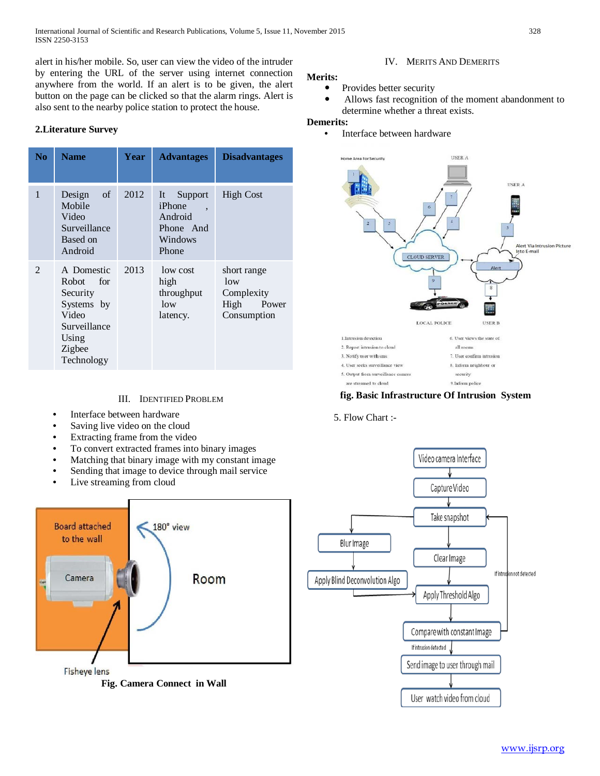International Journal of Scientific and Research Publications, Volume 5, Issue 11, November 2015 328 ISSN 2250-3153

alert in his/her mobile. So, user can view the video of the intruder by entering the URL of the server using internet connection anywhere from the world. If an alert is to be given, the alert button on the page can be clicked so that the alarm rings. Alert is also sent to the nearby police station to protect the house.

# **2.Literature Survey**

| N <sub>0</sub> | <b>Name</b>                                                                                                      | Year | <b>Advantages</b>                                                        | <b>Disadvantages</b>                                             |
|----------------|------------------------------------------------------------------------------------------------------------------|------|--------------------------------------------------------------------------|------------------------------------------------------------------|
| 1              | Design<br>of<br>Mobile<br>Video<br>Surveillance<br>Based on<br>Android                                           | 2012 | Support<br>It<br>iPhone<br>۰<br>Android<br>Phone And<br>Windows<br>Phone | <b>High Cost</b>                                                 |
| $\mathfrak{D}$ | A Domestic<br>Robot –<br>for<br>Security<br>Systems by<br>Video<br>Surveillance<br>Using<br>Zigbee<br>Technology | 2013 | low cost<br>high<br>throughput<br>low<br>latency.                        | short range<br>low<br>Complexity<br>High<br>Power<br>Consumption |

# III. IDENTIFIED PROBLEM

- Interface between hardware
- Saving live video on the cloud
- Extracting frame from the video
- To convert extracted frames into binary images
- Matching that binary image with my constant image
- Sending that image to device through mail service
- Live streaming from cloud



**Fig. Camera Connect in Wall**

## IV. MERITS AND DEMERITS

# **Merits:**

- Provides better security
- Allows fast recognition of the moment abandonment to determine whether a threat exists.

## **Demerits:**

• Interface between hardware



## **fig. Basic Infrastructure Of Intrusion System**

## 5. Flow Chart :-